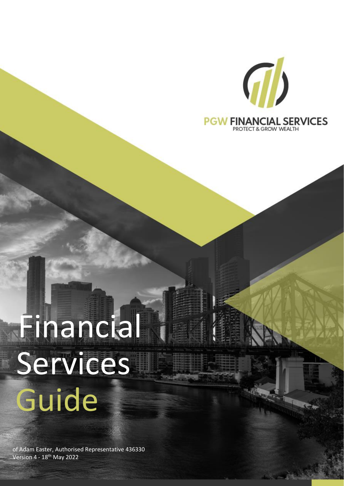

# Services Guide Financial

of Adam Easter, Authorised Representative 436330 Version 4 - 18<sup>th</sup> May 2022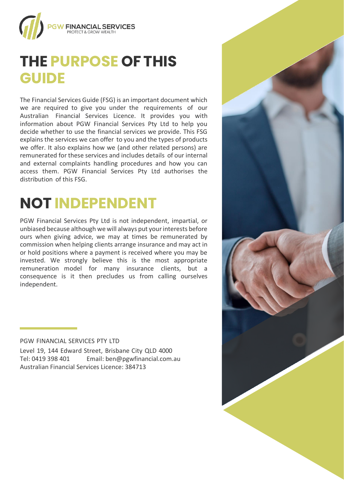

#### **THE PURPOSE OFTHIS GUIDE**

The Financial Services Guide (FSG) is an important document which we are required to give you under the requirements of our Australian Financial Services Licence. It provides you with information about PGW Financial Services Pty Ltd to help you decide whether to use the financial services we provide. This FSG explains the services we can offer to you and the types of products we offer. It also explains how we (and other related persons) are remunerated for these services and includes details of our internal and external complaints handling procedures and how you can access them. PGW Financial Services Pty Ltd authorises the distribution of this FSG.

## **NOT INDEPENDENT**

PGW Financial Services Pty Ltd is not independent, impartial, or unbiased because although we will always put your interests before ours when giving advice, we may at times be remunerated by commission when helping clients arrange insurance and may act in or hold positions where a payment is received where you may be invested. We strongly believe this is the most appropriate remuneration model for many insurance clients, but a consequence is it then precludes us from calling ourselves independent.

#### PGW FINANCIAL SERVICES PTY LTD

Level 19, 144 Edward Street, Brisbane City QLD 4000 Tel: 0419 398 401 Email[: ben@pgwfinancial.com.au](mailto:ben@pgwfinancial.com.au) Australian Financial Services Licence: 384713

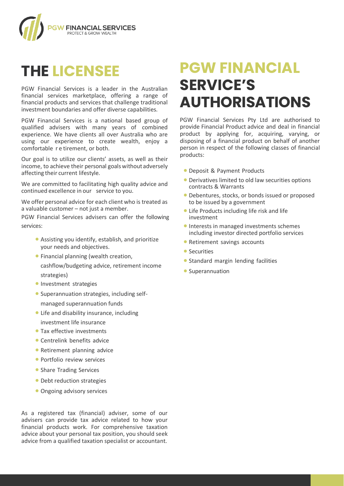

## **THE LICENSEE**

PGW Financial Services is a leader in the Australian financial services marketplace, offering a range of financial products and services that challenge traditional investment boundaries and offer diverse capabilities.

PGW Financial Services is a national based group of qualified advisers with many years of combined experience. We have clients all over Australia who are using our experience to create wealth, enjoy a comfortable r e tirement, or both.

Our goal is to utilize our clients' assets, as well as their income, to achieve their personal goals without adversely affecting their current lifestyle.

We are committed to facilitating high quality advice and continued excellence in our service to you.

We offer personal advice for each client who is treated as a valuable customer – not just a member.

PGW Financial Services advisers can offer the following services:

- Assisting you identify, establish, and prioritize your needs and objectives.
- Financial planning (wealth creation, cashflow/budgeting advice, retirement income strategies)
- **Investment strategies**
- Superannuation strategies, including selfmanaged superannuation funds
- Life and disability insurance, including investment life insurance
- Tax effective investments
- Centrelink benefits advice
- Retirement planning advice
- Portfolio review services
- Share Trading Services
- Debt reduction strategies
- Ongoing advisory services

As a registered tax (financial) adviser, some of our advisers can provide tax advice related to how your financial products work. For comprehensive taxation advice about your personal tax position, you should seek advice from a qualified taxation specialist or accountant.

#### **PGW FINANCIAL SERVICE'S AUTHORISATIONS**

PGW Financial Services Pty Ltd are authorised to provide Financial Product advice and deal in financial product by applying for, acquiring, varying, or disposing of a financial product on behalf of another person in respect of the following classes of financial products:

- Deposit & Payment Products
- Derivatives limited to old law securities options contracts & Warrants
- Debentures, stocks, or bonds issued or proposed to be issued by a government
- Life Products including life risk and life investment
- Interests in managed investments schemes including investor directed portfolio services
- Retirement savings accounts
- Securities
- Standard margin lending facilities
- Superannuation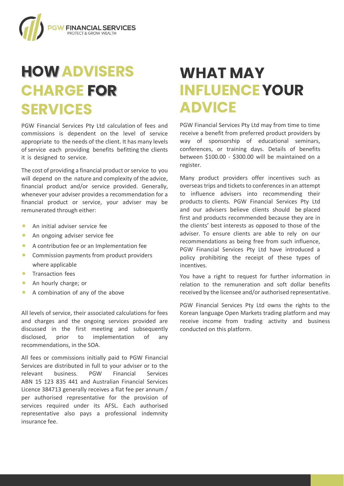

## **HOWADVISERS CHARGE FOR SERVICES**

PGW Financial Services Pty Ltd calculation of fees and commissions is dependent on the level of service appropriate to the needs of the client. It has many levels of service each providing benefits befitting the clients it is designed to service.

The cost of providing a financial product or service to you will depend on the nature and complexity of the advice, financial product and/or service provided. Generally, whenever your adviser provides a recommendation for a financial product or service, your adviser may be remunerated through either:

- An initial adviser service fee
- An ongoing adviser service fee
- A contribution fee or an Implementation fee
- Commission payments from product providers where applicable
- Transaction fees
- An hourly charge; or
- A combination of any of the above

All levels of service, their associated calculations for fees and charges and the ongoing services provided are discussed in the first meeting and subsequently disclosed, prior to implementation of any recommendations, in the SOA.

All fees or commissions initially paid to PGW Financial Services are distributed in full to your adviser or to the relevant business. PGW Financial Services ABN 15 123 835 441 and Australian Financial Services Licence 384713 generally receives a flat fee per annum / per authorised representative for the provision of services required under its AFSL. Each authorised representative also pays a professional indemnity insurance fee.

#### **WHAT MAY INFLUENCEYOUR ADVICE**

PGW Financial Services Pty Ltd may from time to time receive a benefit from preferred product providers by way of sponsorship of educational seminars, conferences, or training days. Details of benefits between \$100.00 - \$300.00 will be maintained on a register.

Many product providers offer incentives such as overseas trips and tickets to conferences in an attempt to influence advisers into recommending their products to clients. PGW Financial Services Pty Ltd and our advisers believe clients should be placed first and products recommended because they are in the clients' best interests as opposed to those of the adviser. To ensure clients are able to rely on our recommendations as being free from such influence, PGW Financial Services Pty Ltd have introduced a policy prohibiting the receipt of these types of incentives.

You have a right to request for further information in relation to the remuneration and soft dollar benefits received by the licensee and/or authorised representative.

PGW Financial Services Pty Ltd owns the rights to the Korean language Open Markets trading platform and may receive income from trading activity and business conducted on this platform.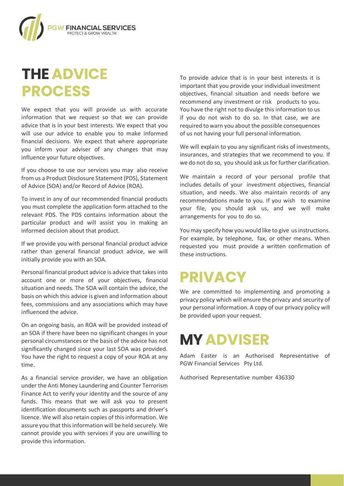

## **THEADVICE PROCESS**

We expect that you will provide us with accurate information that we request so that we can provide advice that is in your best interests. We expect that you will use our advice to enable you to make informed financial decisions. We expect that where appropriate you inform your adviser of any changes that may influence your future objectives.

If you choose to use our services you may also receive from us a Product Disclosure Statement (PDS), Statement of Advice (SOA) and/or Record of Advice (ROA).

To invest in any of our recommended financial products you must complete the application form attached to the relevant PDS. The PDS contains information about the particular product and will assist you in making an informed decision about that product.

If we provide you with personal financial product advice rather than general financial product advice, we will initially provide you with an SOA.

Personal financial product advice is advice that takes into account one or more of your objectives, financial situation and needs. The SOA will contain the advice, the basis on which this advice is given and information about fees, commissions and any associations which may have influenced the advice.

On an ongoing basis, an ROA will be provided instead of an SOA if there have been no significant changes in your personal circumstances or the basis of the advice has not significantly changed since your last SOA was provided. You have the right to request a copy of your ROA at any time.

As a financial service provider, we have an obligation under the Anti Money Laundering and Counter Terrorism Finance Act to verify your identity and the source of any funds. This means that we will ask you to present identification documents such as passports and driver's licence. We will also retain copies of this information. We assure you that this information will be held securely. We cannot provide you with services if you are unwilling to provide this information.

To provide advice that is in your best interests it is important that you provide your individual investment objectives, financial situation and needs before we recommend any investment or risk products to you. You have the right not to divulge this information to us if you do not wish to do so. In that case, we are required to warn you about the possible consequences of us not having your full personal information.

We will explain to you any significant risks of investments, insurances, and strategies that we recommend to you. If we do not do so, you should ask us for further clarification.

We maintain a record of your personal profile that includes details of your investment objectives, financial situation, and needs. We also maintain records of any recommendations made to you. If you wish to examine your file, you should ask us, and we will make arrangements for you to do so.

You may specify how you would like to give us instructions. For example, by telephone, fax, or other means. When requested you must provide a written confirmation of these instructions.

#### **PRIVACY**

We are committed to implementing and promoting a privacy policy which will ensure the privacy and security of your personal information. A copy of our privacy policy will be provided upon your request.

#### **MYADVISER**

Adam Easter is an Authorised Representative of PGW Financial Services Pty Ltd.

Authorised Representative number 436330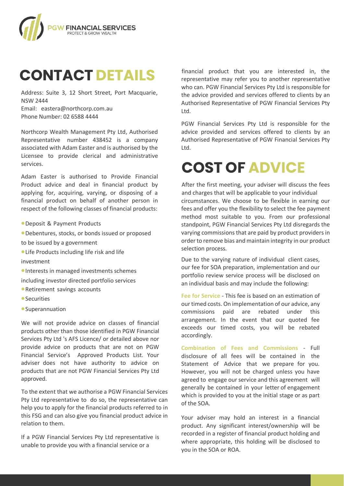

#### **CONTACT DETAILS**

Address: Suite 3, 12 Short Street, Port Macquarie, NSW 2444 Email: eastera@northcorp.com.au Phone Number: 02 6588 4444

Northcorp Wealth Management Pty Ltd, Authorised Representative number 438452 is a company associated with Adam Easter and is authorised by the Licensee to provide clerical and administrative services.

Adam Easter is authorised to Provide Financial Product advice and deal in financial product by applying for, acquiring, varying, or disposing of a financial product on behalf of another person in respect of the following classes of financial products:

- •Deposit & Payment Products
- •Debentures, stocks, or bonds issued or proposed
- to be issued by a government
- •Life Products including life risk and life
- investment

•Interests in managed investments schemes including investor directed portfolio services

- •Retirement savings accounts
- Securities
- •Superannuation

We will not provide advice on classes of financial products other than those identified in PGW Financial Services Pty Ltd 's AFS Licence/ or detailed above nor provide advice on products that are not on PGW Financial Service's Approved Products List. Your adviser does not have authority to advice on products that are not PGW Financial Services Pty Ltd approved.

To the extent that we authorise a PGW Financial Services Pty Ltd representative to do so, the representative can help you to apply for the financial products referred to in this FSG and can also give you financial product advice in relation to them.

If a PGW Financial Services Pty Ltd representative is unable to provide you with a financial service or a

financial product that you are interested in, the representative may refer you to another representative who can. PGW Financial Services Pty Ltd is responsible for the advice provided and services offered to clients by an Authorised Representative of PGW Financial Services Pty Ltd.

PGW Financial Services Pty Ltd is responsible for the advice provided and services offered to clients by an Authorised Representative of PGW Financial Services Pty Ltd.

## **COST OF ADVICE**

After the first meeting, your adviser will discuss the fees and charges that will be applicable to your individual circumstances. We choose to be flexible in earning our fees and offer you the flexibility to select the fee payment method most suitable to you. From our professional standpoint, PGW Financial Services Pty Ltd disregards the varying commissions that are paid by product providers in order to remove bias and maintain integrity in our product selection process.

Due to the varying nature of individual client cases, our fee for SOA preparation, implementation and our portfolio review service process will be disclosed on an individual basis and may include the following:

**Fee for Service** - This fee is based on an estimation of our timed costs. On implementation of our advice, any commissions paid are rebated under this arrangement. In the event that our quoted fee exceeds our timed costs, you will be rebated accordingly.

**Combination of Fees and Commissions** - Full disclosure of all fees will be contained in the Statement of Advice that we prepare for you. However, you will not be charged unless you have agreed to engage our service and this agreement will generally be contained in your letter of engagement which is provided to you at the initial stage or as part of the SOA.

Your adviser may hold an interest in a financial product. Any significant interest/ownership will be recorded in a register of financial product holding and where appropriate, this holding will be disclosed to you in the SOA or ROA.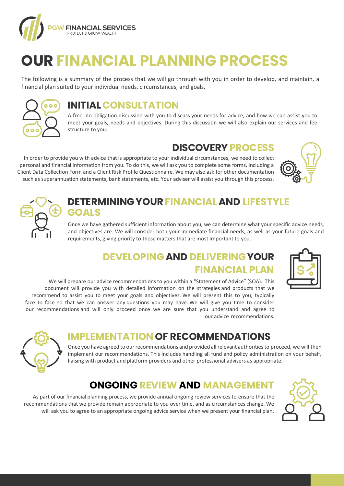

## **OUR FINANCIAL PLANNING PROCESS**

The following is a summary of the process that we will go through with you in order to develop, and maintain, a financial plan suited to your individual needs, circumstances, and goals.



#### **INITIAL CONSULTATION**

A free, no obligation discussion with you to discuss your needs for advice, and how we can assist you to meet your goals, needs and objectives. During this discussion we will also explain our services and fee structure to you.

#### **DISCOVERY PROCESS**

In order to provide you with advice that is appropriate to your individual circumstances, we need to collect personal and financial information from you. To do this, we will ask you to complete some forms, including a Client Data Collection Form and a Client Risk Profile Questionnaire. We may also ask for other documentation such as superannuation statements, bank statements, etc. Your adviser will assist you through this process.





#### **DETERMININGYOURFINANCIALAND LIFESTYLE GOALS**

Once we have gathered sufficient information about you, we can determine what your specific advice needs, and objectives are. We will consider both your immediate financial needs, as well as your future goals and requirements, giving priority to those matters that are most important to you.

#### **DEVELOPING AND DELIVERINGYOUR FINANCIAL PLAN**



We will prepare our advice recommendations to you within a "Statement of Advice" (SOA). This document will provide you with detailed information on the strategies and products that we recommend to assist you to meet your goals and objectives. We will present this to you, typically face to face so that we can answer any questions you may have. We will give you time to consider our recommendations and will only proceed once we are sure that you understand and agree to our advice recommendations.



#### **IMPLEMENTATION OF RECOMMENDATIONS**

Once you have agreed to our recommendations and provided all relevant authorities to proceed, we will then implement our recommendations. This includes handling all fund and policy administration on your behalf, liaising with product and platform providers and other professional advisers as appropriate.

#### **ONGOING REVIEW AND MANAGEMENT**

As part of our financial planning process, we provide annual ongoing review services to ensure that the recommendations that we provide remain appropriate to you over time, and as circumstances change. We will ask you to agree to an appropriate ongoing advice service when we present your financial plan.